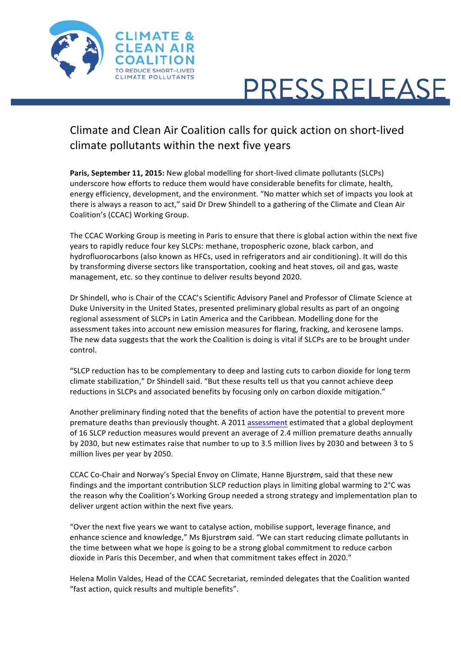

## **PRESS RELEASE**

## Climate and Clean Air Coalition calls for quick action on short-lived climate pollutants within the next five years

**Paris, September 11, 2015:** New global modelling for short-lived climate pollutants (SLCPs) underscore how efforts to reduce them would have considerable benefits for climate, health, energy efficiency, development, and the environment. "No matter which set of impacts you look at there is always a reason to act," said Dr Drew Shindell to a gathering of the Climate and Clean Air Coalition's (CCAC) Working Group.

The CCAC Working Group is meeting in Paris to ensure that there is global action within the next five years to rapidly reduce four key SLCPs: methane, tropospheric ozone, black carbon, and hydrofluorocarbons (also known as HFCs, used in refrigerators and air conditioning). It will do this by transforming diverse sectors like transportation, cooking and heat stoves, oil and gas, waste management, etc. so they continue to deliver results beyond 2020.

Dr Shindell, who is Chair of the CCAC's Scientific Advisory Panel and Professor of Climate Science at Duke University in the United States, presented preliminary global results as part of an ongoing regional assessment of SLCPs in Latin America and the Caribbean. Modelling done for the assessment takes into account new emission measures for flaring, fracking, and kerosene lamps. The new data suggests that the work the Coalition is doing is vital if SLCPs are to be brought under control. 

"SLCP reduction has to be complementary to deep and lasting cuts to carbon dioxide for long term climate stabilization," Dr Shindell said. "But these results tell us that you cannot achieve deep reductions in SLCPs and associated benefits by focusing only on carbon dioxide mitigation."

Another preliminary finding noted that the benefits of action have the potential to prevent more premature deaths than previously thought. A 2011 assessment estimated that a global deployment of 16 SLCP reduction measures would prevent an average of 2.4 million premature deaths annually by 2030, but new estimates raise that number to up to 3.5 million lives by 2030 and between 3 to 5 million lives per year by 2050.

CCAC Co-Chair and Norway's Special Envoy on Climate, Hanne Bjurstrøm, said that these new findings and the important contribution SLCP reduction plays in limiting global warming to  $2^{\circ}$ C was the reason why the Coalition's Working Group needed a strong strategy and implementation plan to deliver urgent action within the next five years.

"Over the next five years we want to catalyse action, mobilise support, leverage finance, and enhance science and knowledge," Ms Bjurstrøm said. "We can start reducing climate pollutants in the time between what we hope is going to be a strong global commitment to reduce carbon dioxide in Paris this December, and when that commitment takes effect in 2020."

Helena Molin Valdes, Head of the CCAC Secretariat, reminded delegates that the Coalition wanted "fast action, quick results and multiple benefits".